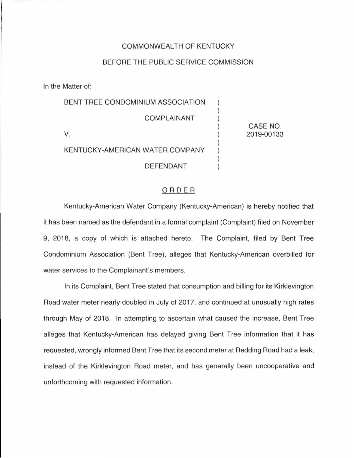### COMMONWEALTH OF KENTUCKY

#### BEFORE THE PUBLIC SERVICE COMMISSION

In the Matter of:

BENT TREE CONDOMINIUM ASSOCIATION COMPLAINANT V. KENTUCKY-AMERICAN WATER COMPANY DEFENDANT CASE NO. 2019-00133

#### ORDER

Kentucky-American Water Company (Kentucky-American) is hereby notified that it has been named as the defendant in a formal complaint (Complaint) filed on November 9, 2018, a copy of which is attached hereto. The Complaint, filed by Bent Tree Condominium Association (Bent Tree), alleges that Kentucky-American overbilled for water services to the Complainant's members.

In its Complaint, Bent Tree stated that consumption and billing for its Kirklevington Road water meter nearly doubled in July of 2017, and continued at unusually high rates through May of 2018. In attempting to ascertain what caused the increase, Bent Tree alleges that Kentucky-American has delayed giving Bent Tree information that it has requested, wrongly informed Bent Tree that its second meter at Redding Road had a leak, instead of the Kirklevington Road meter, and has generally been uncooperative and unforthcoming with requested information.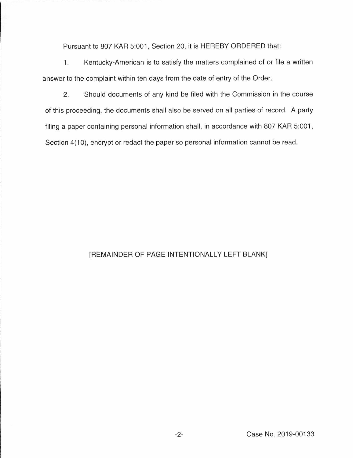Pursuant to 807 KAR 5:001, Section 20, it is HEREBY ORDERED that:

1. Kentucky-American is to satisfy the matters complained of or file a written answer to the complaint within ten days from the date of entry of the Order.

2. Should documents of any kind be filed with the Commission in the course of this proceeding, the documents shall also be served on all parties of record. A party filing a paper containing personal information shall, in accordance with 807 KAR 5:001, Section 4(10), encrypt or redact the paper so personal information cannot be read.

## [REMAINDER OF PAGE INTENTIONALLY LEFT BLANK]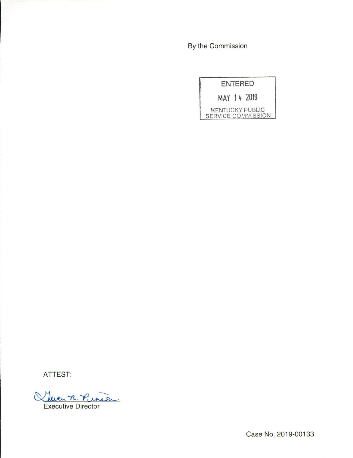By the Commission

|                                              | ENTERED |  |
|----------------------------------------------|---------|--|
| MAY 14 2019                                  |         |  |
| <b>KENTUCKY PUBLIC</b><br>SERVICE COMMISSION |         |  |

**ATTEST:** 

Weren R. Pinson Executive Director

Case No. 2019-00133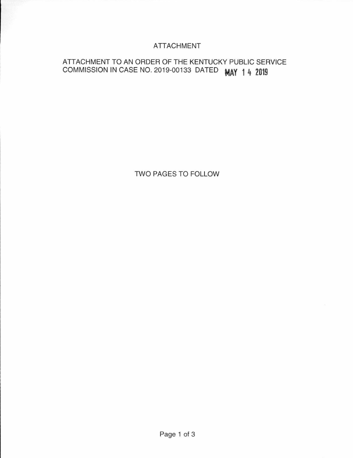## **ATTACHMENT**

# ATTACHMENT TO AN ORDER OF THE KENTUCKY PUBLIC SERVICE COMMISSION IN CASE NO. 2019-00133 DATED **MAY 1 4 2019**

TWO PAGES TO FOLLOW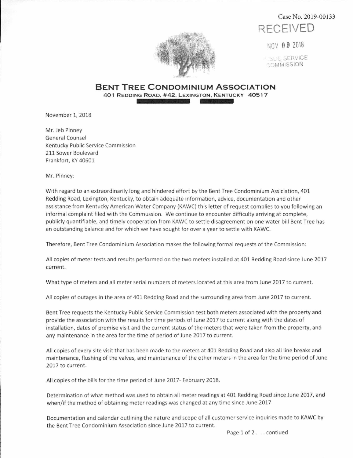Case No. 2019-00133



NOV 0 9 ZOlB

**1.BLIC SERVICE**  $\circ$ ommission



**BENT TREE CONDOMINIUM ASSOCIATION**  401 REDDING ROAD, #42, LEXINGTON, KENTUCKY 40517

November 1, 2018

Mr. Jeb Pinney General Counsel Kentucky Public Service Commission 211 Sower Boulevard Frankfort, KY 40601

Mr. Pinney:

With regard to an extraordinarily long and hindered effort by the Bent Tree Condominium Assiciation, 401 Redding Road, Lexington, Kentucky, to obtain adequate information, advice, documentation and other assistance from Kentucky American Water Company (KAWC) this letter of request complies to you following an informal complaint filed with the Commussion. We continue to encounter difficulty arriving at complete, publicly quantifiable, and timely cooperation from KAWC to settle disagreement on one water bill Bent Tree has an outstanding balance and for which we have sought for over a year to settle with KAWC.

Therefore, Bent Tree Condominium Association makes the following formal requests of the Commission:

All copies of meter tests and results performed on the two meters installed at 401 Redding Road since June 2017 current.

What type of meters and all meter serial numbers of meters located at this area from June 2017 to current.

All copies of outages in the area of 401 Redding Road and the surrounding area from June 2017 to current.

Bent Tree requests the Kentucky Public Service Commission test both meters associated with the property and provide the association with the results for time periods of June 2017 to current along with the dates of installation, dates of premise visit and the current status of the meters that were taken from the property, and any maintenance in the area for the time of period of June 2017 to current.

All copies of every site visit that has been made to the meters at 401 Redding Road and also all line breaks and maintenance, flushing of the valves, and maintenance of the other meters in the area for the time period of June 2017 to current.

All copies of the bills for the time period of June 2017- February 2018.

Determination of what method was used to obtain all meter readings at 401 Redding Road since June 2017, and when/if the method of obtaining meter readings was changed at any time since June 2017

Documentation and calendar outlining the nature and scope of all customer service inquiries made to KAWC by the Bent Tree Condominium Association since June 2017 to current.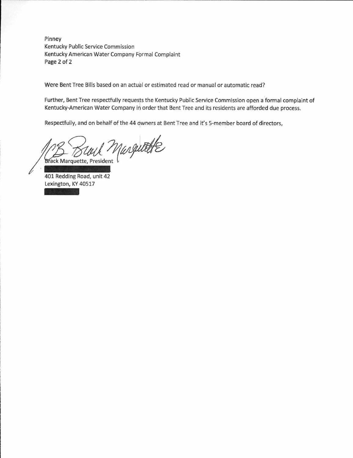Pinney Kentucky Public Service Commission Kentucky American Water Company Formal Complaint Page 2 of 2

Were Bent Tree Bills based on an actual or estimated read or manual or automatic read?

Further, Bent Tree respectfully requests the Kentucky Public Service Commission open a formal complaint of Kentucky-American Water Company in order that Bent Tree and its residents are afforded due process.

Respectfully, and on behalf of the 44 owners at Bent Tree and it's 5-member board of directors,

Marguette **Brack Marquette, President** 

401 Redding Road, unit 42 -Lexington, KY 40517